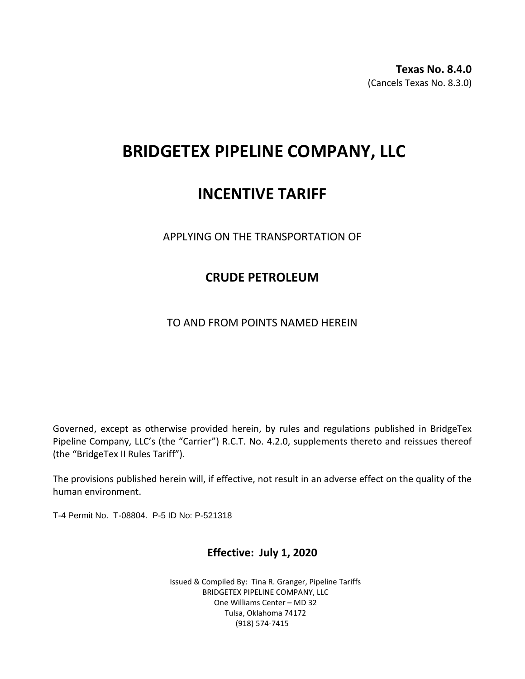**Texas No. 8.4.0** (Cancels Texas No. 8.3.0)

# **BRIDGETEX PIPELINE COMPANY, LLC**

## **INCENTIVE TARIFF**

APPLYING ON THE TRANSPORTATION OF

### **CRUDE PETROLEUM**

TO AND FROM POINTS NAMED HEREIN

Governed, except as otherwise provided herein, by rules and regulations published in BridgeTex Pipeline Company, LLC's (the "Carrier") R.C.T. No. 4.2.0, supplements thereto and reissues thereof (the "BridgeTex II Rules Tariff").

The provisions published herein will, if effective, not result in an adverse effect on the quality of the human environment.

T-4 Permit No. T-08804. P-5 ID No: P-521318

### **Effective: July 1, 2020**

Issued & Compiled By: Tina R. Granger, Pipeline Tariffs BRIDGETEX PIPELINE COMPANY, LLC One Williams Center – MD 32 Tulsa, Oklahoma 74172 (918) 574-7415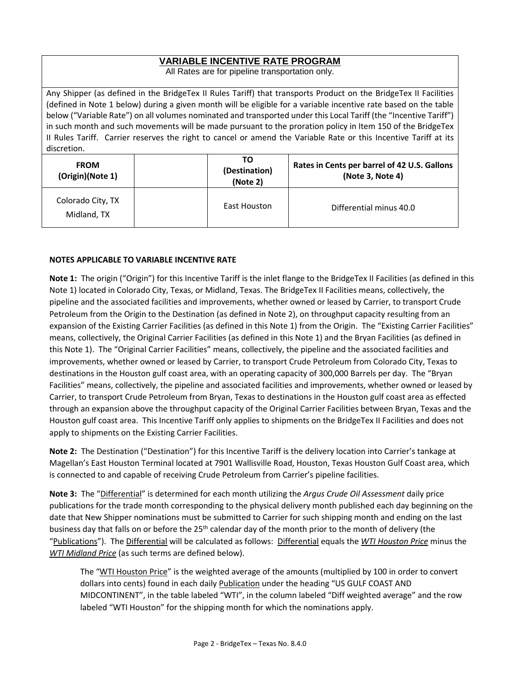#### **VARIABLE INCENTIVE RATE PROGRAM**

All Rates are for pipeline transportation only.

Any Shipper (as defined in the BridgeTex II Rules Tariff) that transports Product on the BridgeTex II Facilities (defined in Note 1 below) during a given month will be eligible for a variable incentive rate based on the table below ("Variable Rate") on all volumes nominated and transported under this Local Tariff (the "Incentive Tariff") in such month and such movements will be made pursuant to the proration policy in Item 150 of the BridgeTex II Rules Tariff. Carrier reserves the right to cancel or amend the Variable Rate or this Incentive Tariff at its discretion.

| <b>FROM</b><br>(Origin)(Note 1)  |  |                     | Rates in Cents per barrel of 42 U.S. Gallons<br>(Note 3, Note 4) |  |
|----------------------------------|--|---------------------|------------------------------------------------------------------|--|
| Colorado City, TX<br>Midland, TX |  | <b>East Houston</b> | Differential minus 40.0                                          |  |

#### **NOTES APPLICABLE TO VARIABLE INCENTIVE RATE**

**Note 1:** The origin ("Origin") for this Incentive Tariff is the inlet flange to the BridgeTex II Facilities (as defined in this Note 1) located in Colorado City, Texas, or Midland, Texas. The BridgeTex II Facilities means, collectively, the pipeline and the associated facilities and improvements, whether owned or leased by Carrier, to transport Crude Petroleum from the Origin to the Destination (as defined in Note 2), on throughput capacity resulting from an expansion of the Existing Carrier Facilities (as defined in this Note 1) from the Origin. The "Existing Carrier Facilities" means, collectively, the Original Carrier Facilities (as defined in this Note 1) and the Bryan Facilities (as defined in this Note 1). The "Original Carrier Facilities" means, collectively, the pipeline and the associated facilities and improvements, whether owned or leased by Carrier, to transport Crude Petroleum from Colorado City, Texas to destinations in the Houston gulf coast area, with an operating capacity of 300,000 Barrels per day. The "Bryan Facilities" means, collectively, the pipeline and associated facilities and improvements, whether owned or leased by Carrier, to transport Crude Petroleum from Bryan, Texas to destinations in the Houston gulf coast area as effected through an expansion above the throughput capacity of the Original Carrier Facilities between Bryan, Texas and the Houston gulf coast area. This Incentive Tariff only applies to shipments on the BridgeTex II Facilities and does not apply to shipments on the Existing Carrier Facilities.

**Note 2:** The Destination ("Destination") for this Incentive Tariff is the delivery location into Carrier's tankage at Magellan's East Houston Terminal located at 7901 Wallisville Road, Houston, Texas Houston Gulf Coast area, which is connected to and capable of receiving Crude Petroleum from Carrier's pipeline facilities.

**Note 3:** The "Differential" is determined for each month utilizing the *Argus Crude Oil Assessment* daily price publications for the trade month corresponding to the physical delivery month published each day beginning on the date that New Shipper nominations must be submitted to Carrier for such shipping month and ending on the last business day that falls on or before the 25<sup>th</sup> calendar day of the month prior to the month of delivery (the "Publications"). The Differential will be calculated as follows: Differential equals the *WTI Houston Price* minus the *WTI Midland Price* (as such terms are defined below).

The "WTI Houston Price" is the weighted average of the amounts (multiplied by 100 in order to convert dollars into cents) found in each daily Publication under the heading "US GULF COAST AND MIDCONTINENT", in the table labeled "WTI", in the column labeled "Diff weighted average" and the row labeled "WTI Houston" for the shipping month for which the nominations apply.